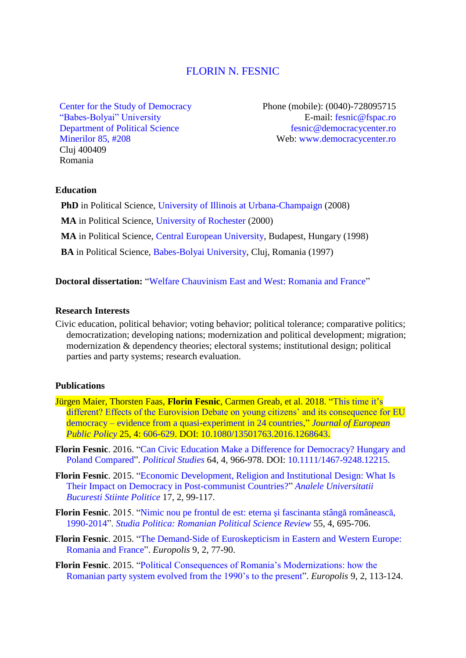# [FLORIN N. FESNIC](http://www.florinfesnic.us/)

[Center for the Study of Democracy](http://www.democracycenter.ro/) ["Babes-Bolyai" University](http://www.ubbcluj.ro/en/) [Department of Political Science](http://fspac.ubbcluj.ro/polito/en/) [Minerilor 85, #208](https://www.google.com/maps/place/FSPAC/@46.7718383,23.6071659,15z/data=!4m2!3m1!1s0x0:0x26c7a15ac3b3be71) Cluj 400409 Romania

Phone (mobile): (0040)-728095715 E-mail: [fesnic@fspac.ro](mailto:fesnic@fspac.ro) [fesnic@democracycenter.ro](mailto:fesnic@democracycenter.ro) Web: [www.democracycenter.ro](http://www.democracycenter.ro/)

### **Education**

**PhD** in Political Science, [University of Illinois at](http://www.pol.illinois.edu/) Urbana-Champaign (2008)

**MA** in Political Science, [University of Rochester](http://www.rochester.edu/college/psc/) (2000)

**MA** in Political Science, [Central European University,](http://politicalscience.ceu.edu/) Budapest, Hungary (1998)

**BA** in Political Science, [Babes-Bolyai University,](http://fspac.ubbcluj.ro/polito/en/) Cluj, Romania (1997)

**Doctoral dissertation:** ["Welfare Chauvinism East and West: Romania and France"](https://dl.dropboxusercontent.com/u/19532654/dissertation.pdf)

#### **Research Interests**

Civic education, political behavior; voting behavior; political tolerance; comparative politics; democratization; developing nations; modernization and political development; migration; modernization & dependency theories; electoral systems; institutional design; political parties and party systems; research evaluation.

### **Publications**

- Jürgen Maier, Thorsten Faas, **Florin Fesnic**, Carmen Greab, et al. 2018. ["This time it's](https://www.dropbox.com/s/prwlg6ybtzp1fxp/eurovision.pdf)  [different? Effects of the Eurovision Debate on young citizens' and its consequence for EU](https://www.dropbox.com/s/prwlg6ybtzp1fxp/eurovision.pdf)  democracy – [evidence from a quasi-experiment in 24 countries,](https://www.dropbox.com/s/prwlg6ybtzp1fxp/eurovision.pdf)" *[Journal of European](http://www.tandfonline.com/loi/rjpp20)  [Public Policy](http://www.tandfonline.com/loi/rjpp20)* 25, 4: [606-629.](https://www.tandfonline.com/doi/abs/10.1080/13501763.2016.1268643?journalCode=rjpp20) DOI: [10.1080/13501763.2016.1268643.](http://www.tandfonline.com/doi/abs/10.1080/13501763.2016.1268643?journalCode=rjpp20)
- **Florin Fesnic**. 2016. ["Can Civic Education Make a Difference for Democracy? Hungary and](http://psx.sagepub.com/content/64/4/966.abstract)  [Poland Compared"](http://psx.sagepub.com/content/64/4/966.abstract). *[Political Studies](http://psx.sagepub.com/)* 64, 4, 966-978. DOI: [10.1111/1467-9248.12215.](http://onlinelibrary.wiley.com/doi/10.1111/1467-9248.12215/abstract)
- **Florin Fesnic**. 2015. ["Economic Development, Religion and Institutional Design: What Is](https://drive.google.com/file/d/0B_NHEDJiWRwEOHZjU1ltdEZGR28/view?pref=2&pli=1)  [Their Impact on Democracy in Post-communist Countries?"](https://drive.google.com/file/d/0B_NHEDJiWRwEOHZjU1ltdEZGR28/view?pref=2&pli=1) *[Analele Universitatii](http://anale.fspub.unibuc.ro/archive/2015-2)  [Bucuresti Stiinte Politice](http://anale.fspub.unibuc.ro/archive/2015-2)* 17, 2, 99-117.
- **Florin Fesnic**. 2015. ["Nimic nou pe frontul de est: eterna şi fascinanta stângă](https://dl.dropboxusercontent.com/u/19532654/sp_stinga_2015.pdf) românească, [1990-2014"](https://dl.dropboxusercontent.com/u/19532654/sp_stinga_2015.pdf). *[Studia Politica: Romanian Political Science Review](http://www.studiapolitica.eu/Archive/2015/studia-politica-vol-xv-no-4-2015)* 55, 4, 695-706.
- **Florin Fesnic**. 2015. ["The Demand-Side of Euroskepticism in Eastern and Western Europe:](https://dl.dropboxusercontent.com/u/19532654/euro_fesnic1.pdf)  [Romania and France"](https://dl.dropboxusercontent.com/u/19532654/euro_fesnic1.pdf). *Europolis* 9, 2, 77-90.
- **Florin Fesnic**. 2015. ["Political Consequences of Romania's Modernizations: how the](https://dl.dropboxusercontent.com/u/19532654/euro_fesnic2.pdf)  [Romanian party system evolved from the 1990's to the present"](https://dl.dropboxusercontent.com/u/19532654/euro_fesnic2.pdf). *Europolis* 9, 2, 113-124.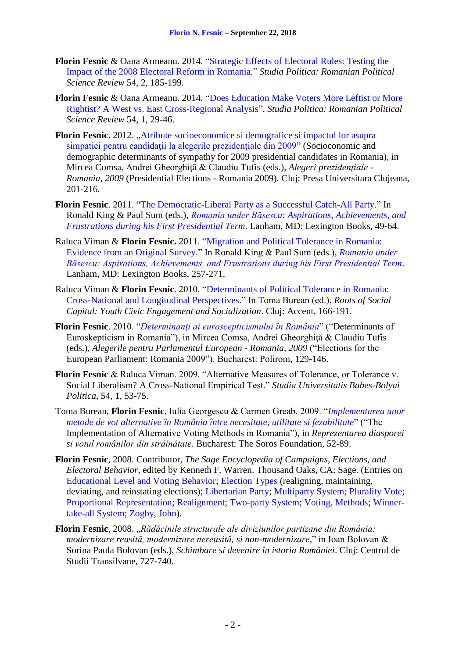- **Florin Fesnic** & Oana Armeanu. 2014. ["Strategic Effects of Electoral Rules: Testing the](https://dl.dropboxusercontent.com/u/19532654/studia_2014_2.pdf)  [Impact of the 2008 Electoral Reform in](https://dl.dropboxusercontent.com/u/19532654/studia_2014_2.pdf) Romania." *Studia Politica: Romanian Political Science Review* 54, 2, 185-199.
- **Florin Fesnic** & Oana Armeanu. 2014. ["Does Education Make Voters More Leftist or More](https://dl.dropboxusercontent.com/u/19532654/studia_2014_1.pdf)  [Rightist? A West vs. East Cross-Regional Analysis"](https://dl.dropboxusercontent.com/u/19532654/studia_2014_1.pdf). *Studia Politica: Romanian Political Science Review* 54, 1, 29-46.
- **Florin Fesnic**. 2012. "Atribute socioeconomice si demografice si impactul lor asupra simpatiei pentru candidații la alegerile prezidențiale din 2009" (Socioconomic and demographic determinants of sympathy for 2009 presidential candidates in Romania), in Mircea Comsa, Andrei Gheorghită & Claudiu Tufis (eds.), *Alegeri prezidentiale -Romania, 2009* (Presidential Elections - Romania 2009). Cluj: Presa Universitara Clujeana, 201-216.
- **Florin Fesnic**. 2011. ["The Democratic-Liberal Party as a Successful Catch-All Party.](https://dl.dropboxusercontent.com/u/19532654/Fesnic-Proofs-2.pdf)" In Ronald King & Paul Sum (eds.), *[Romania under Băsescu: Aspirations, Achievements, and](http://www.amazon.com/Romania-under-Basescu-Achievements-Frustrations/dp/0739148567/ref=sr_1_1?s=books&ie=UTF8&qid=1441803169&sr=1-1&keywords=romania+under+basescu)  [Frustrations during his First Presidential Term](http://www.amazon.com/Romania-under-Basescu-Achievements-Frustrations/dp/0739148567/ref=sr_1_1?s=books&ie=UTF8&qid=1441803169&sr=1-1&keywords=romania+under+basescu)*. Lanham, MD: Lexington Books, 49-64.
- Raluca Viman & **Florin Fesnic.** 2011. ["Migration and Political Tolerance in Romania:](https://dl.dropboxusercontent.com/u/19532654/viman_fesnic.pdf)  [Evidence from an Original Survey.](https://dl.dropboxusercontent.com/u/19532654/viman_fesnic.pdf)" In Ronald King & Paul Sum (eds.), *[Romania under](http://www.amazon.com/Romania-under-Basescu-Achievements-Frustrations/dp/0739148567/ref=sr_1_1?s=books&ie=UTF8&qid=1441803169&sr=1-1&keywords=romania+under+basescu)  [Băsescu: Aspirations, Achievements, and Frustrations during his First Presidential Term](http://www.amazon.com/Romania-under-Basescu-Achievements-Frustrations/dp/0739148567/ref=sr_1_1?s=books&ie=UTF8&qid=1441803169&sr=1-1&keywords=romania+under+basescu)*. Lanham, MD: Lexington Books, 257-271.
- Raluca Viman & **Florin Fesnic**. 2010. ["Determinants of Political Tolerance in Romania:](https://dl.dropboxusercontent.com/u/19532654/CSD_2010.pdf)  [Cross-National and Longitudinal Perspectives.](https://dl.dropboxusercontent.com/u/19532654/CSD_2010.pdf)" In Toma Burean (ed.), *Roots of Social Capital: Youth Civic Engagement and Socialization*. Cluj: Accent, 166-191.
- **Florin Fesnic**. 2010. "*[Determinanţi ai euroscepticismului în România](https://dl.dropboxusercontent.com/u/19532654/Polirom_2010.pdf)*" ("Determinants of Euroskepticism in Romania"), in Mircea Comsa, Andrei Gheorghiţă & Claudiu Tufis (eds.), *Alegerile pentru Parlamentul European - Romania, 2009* ("Elections for the European Parliament: Romania 2009"). Bucharest: Polirom, 129-146.
- **Florin Fesnic** & Raluca Viman. 2009. "Alternative Measures of Tolerance, or Tolerance v. Social Liberalism? A Cross-National Empirical Test." *Studia Universitatis Babes-Bolyai Politica*, 54, 1, 53-75.
- Toma Burean, **Florin Fesnic**, Iulia Georgescu & Carmen Greab. 2009. "*[Implementarea unor](https://dl.dropboxusercontent.com/u/19532654/metode_de_vot.pdf)  [metode de vot alternative în România între necesitate, utilitate si fezabilitate](https://dl.dropboxusercontent.com/u/19532654/metode_de_vot.pdf)*" ("The Implementation of Alternative Voting Methods in Romania"), in *Reprezentarea diasporei si votul românilor din străinătate*. Bucharest: The Soros Foundation, 52-89.
- **Florin Fesnic**, 2008. Contributor, *The Sage Encyclopedia of Campaigns, Elections, and Electoral Behavior*, edited by Kenneth F. Warren. Thousand Oaks, CA: Sage. (Entries on [Educational Level and Voting Behavior;](http://dl.dropbox.com/u/19532654/education_and_voting.pdf) [Election Types](http://dl.dropbox.com/u/19532654/election_types.pdf) (realigning, maintaining, deviating, and reinstating elections); [Libertarian Party;](http://dl.dropbox.com/u/19532654/libertarian_party.pdf) [Multiparty System;](http://dl.dropbox.com/u/19532654/multiparty_system.pdf) [Plurality Vote;](http://dl.dropbox.com/u/19532654/plurality_vote.pdf) [Proportional Representation;](http://dl.dropbox.com/u/19532654/proportional_representation.pdf) [Realignment;](http://dl.dropbox.com/u/19532654/realignment.pdf) [Two-party System;](http://dl.dropbox.com/u/19532654/two_party.pdf) [Voting, Methods;](http://dl.dropbox.com/u/19532654/voting_methods.pdf) [Winner](http://dl.dropbox.com/u/19532654/winner.pdf)[take-all System;](http://dl.dropbox.com/u/19532654/winner.pdf) [Zogby, John\)](http://dl.dropbox.com/u/19532654/zogby.pdf).
- **Florin Fesnic**, 2008. "*Rădăcinile structurale ale diviziunilor partizane din România: modernizare reusită, modernizare nereusită, si non-modernizare*," in Ioan Bolovan & Sorina Paula Bolovan (eds.), *Schimbare si devenire în istoria României*. Cluj: Centrul de Studii Transilvane, 727-740.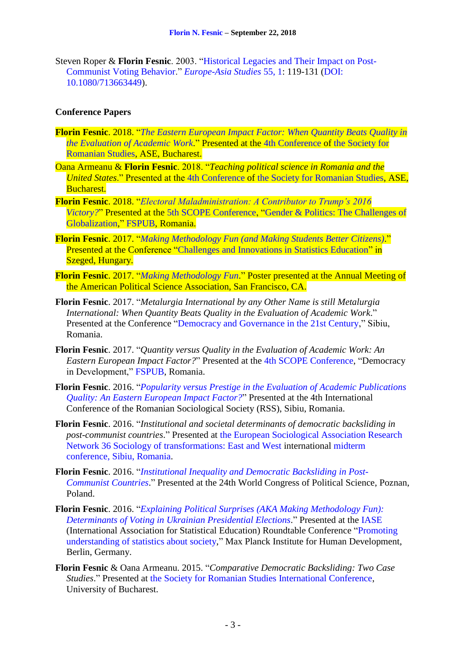Steven Roper & **Florin Fesnic**. 2003. ["Historical Legacies and Their Impact on Post-](https://dl.dropboxusercontent.com/u/19532654/E_fesnic_legacies.pdf)[Communist Voting Behavior.](https://dl.dropboxusercontent.com/u/19532654/E_fesnic_legacies.pdf)" *[Europe-Asia Studies](http://www.tandfonline.com/toc/ceas20/55/1)* 55, 1: 119-131 [\(DOI:](http://www.tandfonline.com/doi/abs/10.1080/713663449) [10.1080/713663449\)](http://www.tandfonline.com/doi/abs/10.1080/713663449).

# **Conference Papers**

- **Florin Fesnic**. 2018. "*[The Eastern European Impact Factor: When Quantity Beats Quality in](https://www.dropbox.com/s/8t56zlvuhd1nyym/The_EE_Impact_Factor_FINAL_FINAL.pdf)  [the Evaluation of Academic Work](https://www.dropbox.com/s/8t56zlvuhd1nyym/The_EE_Impact_Factor_FINAL_FINAL.pdf)*." Presented at the [4th Conference](https://society4romanianstudiesdotorg.files.wordpress.com/2018/05/program-short-version-website-may-27.pdf) of [the Society for](https://society4romanianstudies.org/)  [Romanian Studies,](https://society4romanianstudies.org/) ASE, Bucharest.
- Oana Armeanu & **Florin Fesnic**. 2018. "*Teaching political science in Romania and the United States*." Presented at the [4th Conference](https://society4romanianstudiesdotorg.files.wordpress.com/2018/05/program-short-version-website-may-27.pdf) of [the Society for Romanian Studies,](https://society4romanianstudies.org/) ASE, Bucharest.
- **Florin Fesnic**. 2018. "*[Electoral Maladministration: A Contributor to Trump's 2016](https://www.dropbox.com/s/flx3qbt0e7fqzzf/Electoral_Maladministration_Trump.pdf)  [Victory?](https://www.dropbox.com/s/flx3qbt0e7fqzzf/Electoral_Maladministration_Trump.pdf)*" Presented at the [5th SCOPE Conference,](https://drive.google.com/file/d/1MjR4Y1NmMu5XA3T1VgVWJpu7Al2RZ7U7/view) ["Gender & Politics: The Challenges of](https://drive.google.com/file/d/1MjR4Y1NmMu5XA3T1VgVWJpu7Al2RZ7U7/view) [Globalization,](https://drive.google.com/file/d/1MjR4Y1NmMu5XA3T1VgVWJpu7Al2RZ7U7/view)" [FSPUB,](http://www.fspub.unibuc.ro/) Romania.
- **Florin Fesnic**. 2017. "*[Making Methodology Fun \(and Making Students Better Citizens\)](http://www.eco.u-szeged.hu/english/research/conferences-workshops/challanges-and-innovations-in-statistics-education/program/program#making_methodology_fun)*." Presented at the Conference "Challenges and [Innovations in Statistics Education"](http://www.eco.u-szeged.hu/english/research/conferences-workshops/challanges-and-innovations-in-statistics-education/challanges-and-innovations-in-statistics-education) in Szeged, Hungary.
- **Florin Fesnic**. 2017. "*[Making Methodology Fun](https://apsa2017-apsa.ipostersessions.com/default.aspx?s=60-59-1B-88-2E-8F-28-E9-CC-54-F2-31-3A-2D-B8-AD)*." Poster presented at the Annual Meeting of the American Political Science Association, San Francisco, CA.
- **Florin Fesnic**. 2017. "*Metalurgia International by any Other Name is still Metalurgia International: When Quantity Beats Quality in the Evaluation of Academic Work*." Presented at the Conference ["Democracy and Governance in the 21st Century,](https://www.dropbox.com/s/h3kvvgsvfwpwuql/document.pdf?dl=0)" Sibiu, Romania.
- **Florin Fesnic**. 2017. "*Quantity versus Quality in the Evaluation of Academic Work: An Eastern European Impact Factor?*" Presented at the [4th SCOPE Conference,](https://www.dropbox.com/s/h3kvvgsvfwpwuql/document.pdf?dl=0) "Democracy in Development," [FSPUB,](http://www.fspub.unibuc.ro/) Romania.
- **Florin Fesnic**. 2016. "*[Popularity versus Prestige in the Evaluation of Academic Publications](https://dl.dropboxusercontent.com/u/19532654/Sibiu_impact_factor.pdf)  [Quality: An Eastern European Impact Factor?](https://dl.dropboxusercontent.com/u/19532654/Sibiu_impact_factor.pdf)*" Presented at the 4th International Conference of the Romanian Sociological Society (RSS), Sibiu, Romania.
- **Florin Fesnic**. 2016. "*Institutional and societal determinants of democratic backsliding in post-communist countries*." Presented at [the European Sociological Association Research](http://www.europeansociology.org/research-networks/200-rn36-sociology-of-transformations.html)  [Network 36 Sociology of transformations: East and West](http://www.europeansociology.org/research-networks/200-rn36-sociology-of-transformations.html) international [midterm](http://conferences.ulbsibiu.ro/esa-rn36/)  [conference, Sibiu, Romania.](http://conferences.ulbsibiu.ro/esa-rn36/)
- **Florin Fesnic**. 2016. "*[Institutional Inequality and Democratic Backsliding](https://wc2016.ipsa.org/my-ipsa/events/istanbul2016/paper/institutional-inequality-and-democratic-backsliding-post-communist) in Post-[Communist Countries](https://wc2016.ipsa.org/my-ipsa/events/istanbul2016/paper/institutional-inequality-and-democratic-backsliding-post-communist)*." Presented at the 24th World Congress of Political Science, Poznan, Poland.
- **Florin Fesnic**. 2016. "*[Explaining Political Surprises \(AKA Making Methodology](http://iase-web.org/conference/roundtable16/prelimpapers/Fesnic.pdf?1465567453) Fun): [Determinants of Voting in Ukrainian Presidential Elections](http://iase-web.org/conference/roundtable16/prelimpapers/Fesnic.pdf?1465567453)*." Presented at the [IASE](http://iase-web.org/) (International Association for Statistical Education) Roundtable Conference ["Promoting](http://iase-web.org/conference/roundtable16/)  [understanding of statistics about society,](http://iase-web.org/conference/roundtable16/)" Max Planck Institute for Human Development, Berlin, Germany.
- **Florin Fesnic** & Oana Armeanu. 2015. "*Comparative Democratic Backsliding: Two Case Studies*." Presented at [the Society for Romanian Studies International Conference,](https://drive.google.com/file/d/0By9J1fwWvRZaRXdXRnVpaTRjZlpYMG9rTjBrWFdLQmdRTXZB/view) University of Bucharest.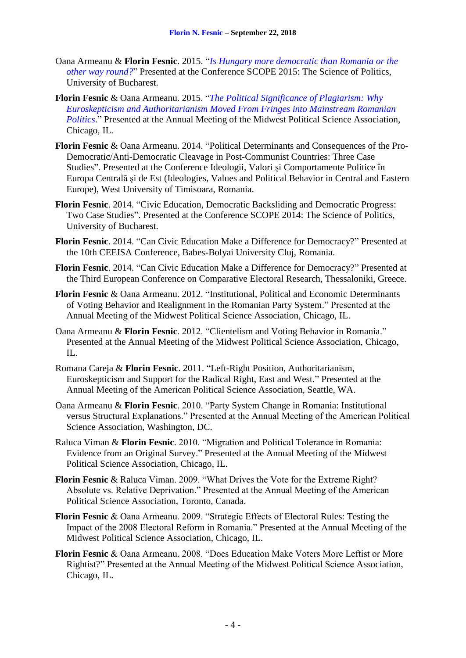- Oana Armeanu & **Florin Fesnic**. 2015. "*[Is Hungary more democratic than Romania or the](https://drive.google.com/file/d/0B1VJPKXJC8W8elp5RmZqTXBnN3M/view?pli=1)  [other way round?](https://drive.google.com/file/d/0B1VJPKXJC8W8elp5RmZqTXBnN3M/view?pli=1)*" Presented at the Conference SCOPE 2015: The Science of Politics, University of Bucharest.
- **Florin Fesnic** & Oana Armeanu. 2015. "*[The Political Significance of Plagiarism: Why](https://dl.dropboxusercontent.com/u/19532654/mpsa_2015.pdf)  [Euroskepticism and Authoritarianism Moved From Fringes into Mainstream Romanian](https://dl.dropboxusercontent.com/u/19532654/mpsa_2015.pdf)  [Politics](https://dl.dropboxusercontent.com/u/19532654/mpsa_2015.pdf)*." Presented at the Annual Meeting of the Midwest Political Science Association, Chicago, IL.
- **Florin Fesnic** & Oana Armeanu. 2014. "Political Determinants and Consequences of the Pro-Democratic/Anti-Democratic Cleavage in Post-Communist Countries: Three Case Studies". Presented at the Conference Ideologii, Valori şi Comportamente Politice în Europa Centrală şi de Est (Ideologies, Values and Political Behavior in Central and Eastern Europe), West University of Timisoara, Romania.
- **Florin Fesnic**. 2014. "Civic Education, Democratic Backsliding and Democratic Progress: Two Case Studies". Presented at the Conference SCOPE 2014: The Science of Politics, University of Bucharest.
- **Florin Fesnic**. 2014. "Can Civic Education Make a Difference for Democracy?" Presented at the 10th CEEISA Conference, Babes-Bolyai University Cluj, Romania.
- **Florin Fesnic**. 2014. "Can Civic Education Make a Difference for Democracy?" Presented at the Third European Conference on Comparative Electoral Research, Thessaloniki, Greece.
- **Florin Fesnic** & Oana Armeanu. 2012. "Institutional, Political and Economic Determinants of Voting Behavior and Realignment in the Romanian Party System." Presented at the Annual Meeting of the Midwest Political Science Association, Chicago, IL.
- Oana Armeanu & **Florin Fesnic**. 2012. "Clientelism and Voting Behavior in Romania." Presented at the Annual Meeting of the Midwest Political Science Association, Chicago, IL.
- Romana Careja & **Florin Fesnic**. 2011. "Left-Right Position, Authoritarianism, Euroskepticism and Support for the Radical Right, East and West." Presented at the Annual Meeting of the American Political Science Association, Seattle, WA.
- Oana Armeanu & **Florin Fesnic**. 2010. "Party System Change in Romania: Institutional versus Structural Explanations." Presented at the Annual Meeting of the American Political Science Association, Washington, DC.
- Raluca Viman & **Florin Fesnic**. 2010. "Migration and Political Tolerance in Romania: Evidence from an Original Survey." Presented at the Annual Meeting of the Midwest Political Science Association, Chicago, IL.
- **Florin Fesnic** & Raluca Viman. 2009. "What Drives the Vote for the Extreme Right? Absolute vs. Relative Deprivation." Presented at the Annual Meeting of the American Political Science Association, Toronto, Canada.
- **Florin Fesnic** & Oana Armeanu. 2009. "Strategic Effects of Electoral Rules: Testing the Impact of the 2008 Electoral Reform in Romania." Presented at the Annual Meeting of the Midwest Political Science Association, Chicago, IL.
- **Florin Fesnic** & Oana Armeanu. 2008. "Does Education Make Voters More Leftist or More Rightist?" Presented at the Annual Meeting of the Midwest Political Science Association, Chicago, IL.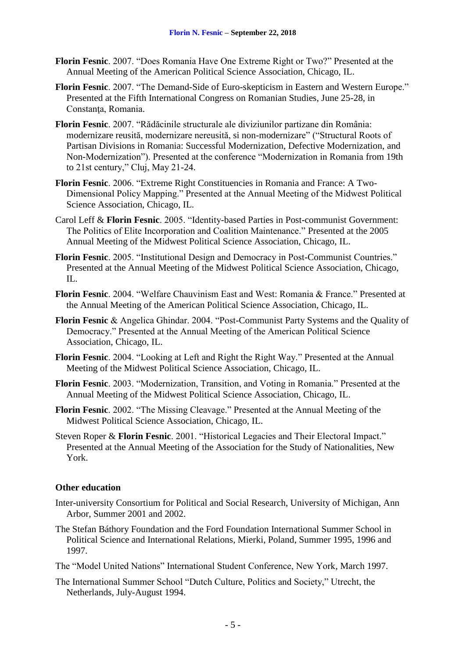- **Florin Fesnic**. 2007. "Does Romania Have One Extreme Right or Two?" Presented at the Annual Meeting of the American Political Science Association, Chicago, IL.
- **Florin Fesnic**. 2007. "The Demand-Side of Euro-skepticism in Eastern and Western Europe." Presented at the Fifth International Congress on Romanian Studies, June 25-28, in Constanta, Romania.
- **Florin Fesnic**. 2007. "Rădăcinile structurale ale diviziunilor partizane din România: modernizare reusită, modernizare nereusită, si non-modernizare" ("Structural Roots of Partisan Divisions in Romania: Successful Modernization, Defective Modernization, and Non-Modernization"). Presented at the conference "Modernization in Romania from 19th to 21st century," Cluj, May 21-24.
- **Florin Fesnic**. 2006. "Extreme Right Constituencies in Romania and France: A Two-Dimensional Policy Mapping." Presented at the Annual Meeting of the Midwest Political Science Association, Chicago, IL.
- Carol Leff & **Florin Fesnic**. 2005. "Identity-based Parties in Post-communist Government: The Politics of Elite Incorporation and Coalition Maintenance." Presented at the 2005 Annual Meeting of the Midwest Political Science Association, Chicago, IL.
- **Florin Fesnic**. 2005. "Institutional Design and Democracy in Post-Communist Countries." Presented at the Annual Meeting of the Midwest Political Science Association, Chicago, IL.
- **Florin Fesnic**. 2004. "Welfare Chauvinism East and West: Romania & France." Presented at the Annual Meeting of the American Political Science Association, Chicago, IL.
- **Florin Fesnic** & Angelica Ghindar. 2004. "Post-Communist Party Systems and the Quality of Democracy." Presented at the Annual Meeting of the American Political Science Association, Chicago, IL.
- **Florin Fesnic**. 2004. "Looking at Left and Right the Right Way." Presented at the Annual Meeting of the Midwest Political Science Association, Chicago, IL.
- **Florin Fesnic**. 2003. "Modernization, Transition, and Voting in Romania." Presented at the Annual Meeting of the Midwest Political Science Association, Chicago, IL.
- **Florin Fesnic**. 2002. "The Missing Cleavage." Presented at the Annual Meeting of the Midwest Political Science Association, Chicago, IL.
- Steven Roper & **Florin Fesnic**. 2001. "Historical Legacies and Their Electoral Impact." Presented at the Annual Meeting of the Association for the Study of Nationalities, New York.

# **Other education**

- Inter-university Consortium for Political and Social Research, University of Michigan, Ann Arbor, Summer 2001 and 2002.
- The Stefan Báthory Foundation and the Ford Foundation International Summer School in Political Science and International Relations, Mierki, Poland, Summer 1995, 1996 and 1997.
- The "Model United Nations" International Student Conference, New York, March 1997.
- The International Summer School "Dutch Culture, Politics and Society," Utrecht, the Netherlands, July-August 1994.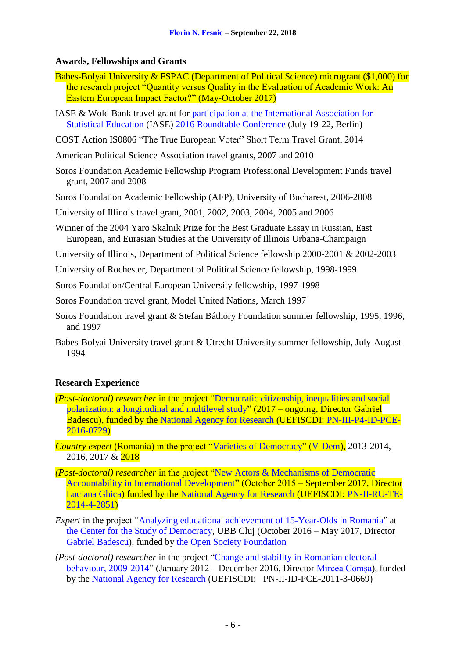# **Awards, Fellowships and Grants**

- Babes-Bolyai University & FSPAC (Department of Political Science) microgrant (\$1,000) for the research project "Quantity versus Quality in the Evaluation of Academic Work: An Eastern European Impact Factor?" (May-October 2017)
- IASE & Wold Bank travel grant for [participation at the International Association for](http://iase-web.org/conference/roundtable16/prelimpapers/Fesnic.pdf?1465567453)  [Statistical Education](http://iase-web.org/conference/roundtable16/prelimpapers/Fesnic.pdf?1465567453) (IASE) [2016 Roundtable Conference](http://iase-web.org/conference/roundtable16/) (July 19-22, Berlin)
- COST Action IS0806 "The True European Voter" Short Term Travel Grant, 2014
- American Political Science Association travel grants, 2007 and 2010
- Soros Foundation Academic Fellowship Program Professional Development Funds travel grant, 2007 and 2008
- Soros Foundation Academic Fellowship (AFP), University of Bucharest, 2006-2008
- University of Illinois travel grant, 2001, 2002, 2003, 2004, 2005 and 2006
- Winner of the 2004 Yaro Skalnik Prize for the Best Graduate Essay in Russian, East European, and Eurasian Studies at the University of Illinois Urbana-Champaign
- University of Illinois, Department of Political Science fellowship 2000-2001 & 2002-2003
- University of Rochester, Department of Political Science fellowship, 1998-1999
- Soros Foundation/Central European University fellowship, 1997-1998
- Soros Foundation travel grant, Model United Nations, March 1997
- Soros Foundation travel grant & Stefan Báthory Foundation summer fellowship, 1995, 1996, and 1997
- Babes-Bolyai University travel grant & Utrecht University summer fellowship, July-August 1994

## **Research Experience**

- *(Post-doctoral) researcher* in the project ["Democratic citizenship, inequalities and social](https://www.democracycenter.ro/english/research/academic-research-projects/democratic-citizenship-inequalities-and-social-polarization-longitudinal-and-multilevel-study)  [polarization: a longitudinal and multilevel study"](https://www.democracycenter.ro/english/research/academic-research-projects/democratic-citizenship-inequalities-and-social-polarization-longitudinal-and-multilevel-study) (2017 **–** ongoing, Director Gabriel Badescu), funded by the [National Agency for Research \(](http://uefiscdi.gov.ro/Public/cat/560/Despre-UEFISCDI.html)[UEFISCDI:](https://www.democracycenter.ro/english/research/academic-research-projects/democratic-citizenship-inequalities-and-social-polarization-longitudinal-and-multilevel-study) [PN-III-P4-ID-PCE-](https://www.democracycenter.ro/english/research/academic-research-projects/democratic-citizenship-inequalities-and-social-polarization-longitudinal-and-multilevel-study)[2016-0729\)](https://www.democracycenter.ro/english/research/academic-research-projects/democratic-citizenship-inequalities-and-social-polarization-longitudinal-and-multilevel-study)
- *Country expert* (Romania) in the project ["Varieties of Democracy"](https://www.v-dem.net/en/) [\(V-Dem\)](https://www.v-dem.net/en/), 2013-2014, 2016, 2017 & 2018
- *(Post-doctoral) researcher* in the project ["New Actors & Mechanisms of Democratic](http://idc.fspub.unibuc.ro/projects/demoaid)  [Accountability in International Development"](http://idc.fspub.unibuc.ro/projects/demoaid) (October 2015 – September 2017, Director [Luciana Ghica\)](http://www.fspub.unibuc.ro/despre/profesori/ghica-luciana-alexandra) funded by the [National Agency for Research \(](http://uefiscdi.gov.ro/Public/cat/560/Despre-UEFISCDI.html)UEFISCDI: [PN-II-RU-TE-](http://idc.fspub.unibuc.ro/projects/demoaid)[2014-4-2851\)](http://idc.fspub.unibuc.ro/projects/demoaid)
- *Expert* in the project ["Analyzing educational achievement of 15-Year-Olds in Romania"](http://www.democracycenter.ro/english/research/applied-research-projects/analyzing-educational-achievement-15-year-olds-romania) at [the Center for the Study of Democracy,](http://www.democracycenter.ro/english) UBB Cluj (October 2016 – May 2017, Director [Gabriel Badescu\)](http://fspac.ubbcluj.ro/wp-content/uploads/2015/03/CV-Gabriel-Badescu.pdf), funded by [the Open Society Foundation](https://www.opensocietyfoundations.org/)
- *(Post-doctoral) researcher* in the project ["Change and stability in Romanian electoral](https://resproject.wordpress.com/)  [behaviour, 2009-2014"](https://resproject.wordpress.com/) (January 2012 – December 2016, Director [Mircea Comşa\)](https://sites.google.com/site/mirceacomsa/), funded by the [National Agency for Research \(](http://uefiscdi.gov.ro/Public/cat/560/Despre-UEFISCDI.html)[UEFISCDI:](http://idc.fspub.unibuc.ro/projects/demoaid) PN-II-ID-PCE-2011-3-0669)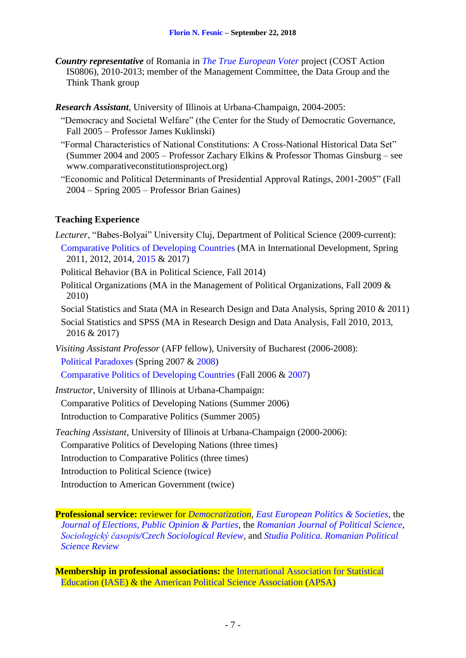*Country representative* of Romania in *The True European Voter* project (COST Action IS0806), 2010-2013; member of the Management Committee, the Data Group and the Think Thank group

*Research Assistant*, University of Illinois at Urbana-Champaign, 2004-2005:

- "Democracy and Societal Welfare" (the Center for the Study of Democratic Governance, Fall 2005 – Professor James Kuklinski)
- "Formal Characteristics of National Constitutions: A Cross-National Historical Data Set" (Summer 2004 and 2005 – Professor Zachary Elkins & Professor Thomas Ginsburg – see www.comparativeconstitutionsproject.org)
- "Economic and Political Determinants of Presidential Approval Ratings, 2001-2005" (Fall 2004 – Spring 2005 – Professor Brian Gaines)

## **Teaching Experience**

*Lecturer*, "Babes-Bolyai" University Cluj, Department of Political Science (2009-current): [Comparative Politics of Developing Countries](https://dl.dropboxusercontent.com/u/19532654/dev_nat_2014/dev_c_2014.htm) (MA in International Development, Spring 2011, 2012, 2014, [2015](https://dl.dropboxusercontent.com/u/19532654/dev_nat_2014/syllabus_DN_2014.pdf) & 2017)

Political Behavior (BA in Political Science, Fall 2014)

Political Organizations (MA in the Management of Political Organizations, Fall 2009 & 2010)

Social Statistics and Stata (MA in Research Design and Data Analysis, Spring 2010 & 2011)

Social Statistics and SPSS (MA in Research Design and Data Analysis, Fall 2010, 2013, 2016 & 2017)

*Visiting Assistant Professor* (AFP fellow), University of Bucharest (2006-2008): [Political Paradoxes](https://dl.dropboxusercontent.com/u/19532654/syllabus_pp_2008.pdf) (Spring [2007](https://netfiles.uiuc.edu/fesnic/fspub/paradoxes.htm) & [2008\)](https://dl.dropboxusercontent.com/u/19532654/syllabus_pp_2008.pdf)

[Comparative Politics of Developing Countries](https://dl.dropboxusercontent.com/u/19532654/syllabus_DN_final.pdf) (Fall [2006](https://netfiles.uiuc.edu/fesnic/fspub/241o.htm) & [2007\)](https://dl.dropboxusercontent.com/u/19532654/syllabus_DN_final.pdf)

*Instructor*, University of Illinois at Urbana-Champaign:

[Comparative Politics of Developing Nations](https://netfiles.uiuc.edu/fesnic/241/241.htm) [\(Summer 2006\)](https://netfiles.uiuc.edu/fesnic/241/241.htm)

[Introduction to Comparative Politics](https://netfiles.uiuc.edu/fesnic/240N/PoliSci240N.htm) [\(Summer 2005\)](https://netfiles.uiuc.edu/fesnic/240N/PoliSci240N.htm)

*Teaching Assistant*, University of Illinois at Urbana-Champaign (2000-2006):

Comparative Politics of Developing Nations (three times)

Introduction to Comparative Politics (three times)

Introduction to Political Science (twice)

Introduction to American Government (twice)

**Professional service:** reviewer for *[Democratization](https://www.tandfonline.com/toc/fdem20/current)*, *[East European Politics & Societies](http://eep.sagepub.com/)*, the *[Journal of Elections, Public Opinion & Parties](http://www.tandfonline.com/toc/fbep20/current)*, the *[Romanian Journal of Political Science](http://www.sar.org.ro/polsci/)*, *[Sociologický časopis/Czech Sociological Review](http://sreview.soc.cas.cz/en)*, and *[Studia Politica. Romanian Political](http://www.studiapolitica.eu/)  [Science Review](http://www.studiapolitica.eu/)*

**Membership in professional associations:** the [International Association for Statistical](https://iase-web.org/)  [Education](https://iase-web.org/) [\(IASE\)](https://iase-web.org/) & the [American Political Science Association](https://www.apsanet.org/) [\(APSA\)](https://www.apsanet.org/)